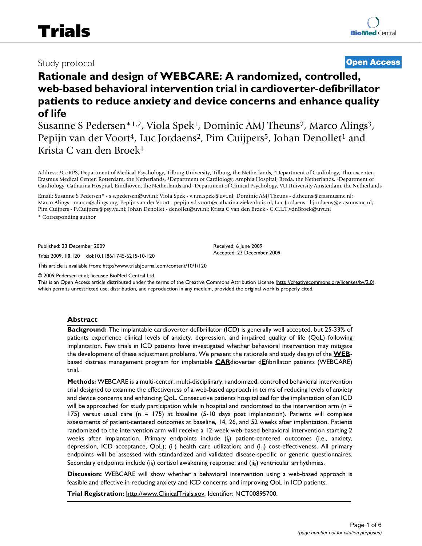# Study protocol **[Open Access](http://www.biomedcentral.com/info/about/charter/)**

# **Rationale and design of WEBCARE: A randomized, controlled, web-based behavioral intervention trial in cardioverter-defibrillator patients to reduce anxiety and device concerns and enhance quality of life**

Susanne S Pedersen<sup>\*1,2</sup>, Viola Spek<sup>1</sup>, Dominic AMJ Theuns<sup>2</sup>, Marco Alings<sup>3</sup>, Pepijn van der Voort<sup>4</sup>, Luc Jordaens<sup>2</sup>, Pim Cuijpers<sup>5</sup>, Johan Denollet<sup>1</sup> and Krista C van den Broek1

Address: 1CoRPS, Department of Medical Psychology, Tilburg University, Tilburg, the Netherlands, 2Department of Cardiology, Thoraxcenter, Erasmus Medical Center, Rotterdam, the Netherlands, 3Department of Cardiology, Amphia Hospital, Breda, the Netherlands, 4Department of Cardiology, Catharina Hospital, Eindhoven, the Netherlands and 5Department of Clinical Psychology, VU University Amsterdam, the Netherlands

Email: Susanne S Pedersen\* - s.s.pedersen@uvt.nl; Viola Spek - v.r.m.spek@uvt.nl; Dominic AMJ Theuns - d.theuns@erasmusmc.nl; Marco Alings - marco@alings.org; Pepijn van der Voort - pepijn.vd.voort@catharina-ziekenhuis.nl; Luc Jordaens - l.jordaens@erasmusmc.nl; Pim Cuijpers - P.Cuijpers@psy.vu.nl; Johan Denollet - denollet@uvt.nl; Krista C van den Broek - C.C.L.T.vdnBroek@uvt.nl

\* Corresponding author

Published: 23 December 2009

*Trials* 2009, **10**:120 doi:10.1186/1745-6215-10-120

[This article is available from: http://www.trialsjournal.com/content/10/1/120](http://www.trialsjournal.com/content/10/1/120)

© 2009 Pedersen et al; licensee BioMed Central Ltd.

This is an Open Access article distributed under the terms of the Creative Commons Attribution License [\(http://creativecommons.org/licenses/by/2.0\)](http://creativecommons.org/licenses/by/2.0), which permits unrestricted use, distribution, and reproduction in any medium, provided the original work is properly cited.

Received: 6 June 2009 Accepted: 23 December 2009

#### **Abstract**

**Background:** The implantable cardioverter defibrillator (ICD) is generally well accepted, but 25-33% of patients experience clinical levels of anxiety, depression, and impaired quality of life (QoL) following implantation. Few trials in ICD patients have investigated whether behavioral intervention may mitigate the development of these adjustment problems. We present the rationale and study design of the **WEB**based distress management program for implantable **CAR**dioverter d**E**fibrillator patients (WEBCARE) trial.

**Methods:** WEBCARE is a multi-center, multi-disciplinary, randomized, controlled behavioral intervention trial designed to examine the effectiveness of a web-based approach in terms of reducing levels of anxiety and device concerns and enhancing QoL. Consecutive patients hospitalized for the implantation of an ICD will be approached for study participation while in hospital and randomized to the intervention arm (n = 175) versus usual care (n = 175) at baseline (5-10 days post implantation). Patients will complete assessments of patient-centered outcomes at baseline, 14, 26, and 52 weeks after implantation. Patients randomized to the intervention arm will receive a 12-week web-based behavioral intervention starting 2 weeks after implantation. Primary endpoints include  $(\mathsf{i}_\mathsf{j})$  patient-centered outcomes (i.e., anxiety, depression, ICD acceptance, QoL);  $(i_{ii})$  health care utilization; and  $(i_{iii})$  cost-effectiveness. All primary endpoints will be assessed with standardized and validated disease-specific or generic questionnaires. Secondary endpoints include (ii<sub>i</sub>) cortisol awakening response; and (ii<sub>ii</sub>) ventricular arrhythmias.

**Discussion:** WEBCARE will show whether a behavioral intervention using a web-based approach is feasible and effective in reducing anxiety and ICD concerns and improving QoL in ICD patients.

**Trial Registration:** [http://www.ClinicalTrials.gov.](http://www.ClinicalTrials.gov) Identifier: NCT00895700.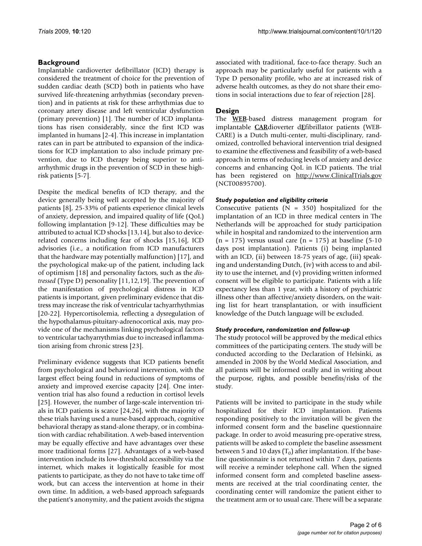# **Background**

Implantable cardioverter defibrillator (ICD) therapy is considered the treatment of choice for the prevention of sudden cardiac death (SCD) both in patients who have survived life-threatening arrhythmias (secondary prevention) and in patients at risk for these arrhythmias due to coronary artery disease and left ventricular dysfunction (primary prevention) [1]. The number of ICD implantations has risen considerably, since the first ICD was implanted in humans [2-4]. This increase in implantation rates can in part be attributed to expansion of the indications for ICD implantation to also include primary prevention, due to ICD therapy being superior to antiarrhythmic drugs in the prevention of SCD in these highrisk patients [5-7].

Despite the medical benefits of ICD therapy, and the device generally being well accepted by the majority of patients [8], 25-33% of patients experience clinical levels of anxiety, depression, and impaired quality of life (QoL) following implantation [9-12]. These difficulties may be attributed to actual ICD shocks [13,14], but also to devicerelated concerns including fear of shocks [15,16], ICD advisories (i.e., a notification from ICD manufacturers that the hardware may potentially malfunction) [17], and the psychological make-up of the patient, including lack of optimism [18] and personality factors, such as the *distressed* (Type D) personality [11,12,19]. The prevention of the manifestation of psychological distress in ICD patients is important, given preliminary evidence that distress may increase the risk of ventricular tachyarrhythmias [20-22]. Hypercortisolemia, reflecting a dysregulation of the hypothalamus-pituitary-adrenocortical axis, may provide one of the mechanisms linking psychological factors to ventricular tachyarrythmias due to increased inflammation arising from chronic stress [23].

Preliminary evidence suggests that ICD patients benefit from psychological and behavioral intervention, with the largest effect being found in reductions of symptoms of anxiety and improved exercise capacity [24]. One intervention trial has also found a reduction in cortisol levels [25]. However, the number of large-scale intervention trials in ICD patients is scarce [24,26], with the majority of these trials having used a nurse-based approach, cognitive behavioral therapy as stand-alone therapy, or in combination with cardiac rehabilitation. A web-based intervention may be equally effective and have advantages over these more traditional forms [27]. Advantages of a web-based intervention include its low-threshold accessibility via the internet, which makes it logistically feasible for most patients to participate, as they do not have to take time off work, but can access the intervention at home in their own time. In addition, a web-based approach safeguards the patient's anonymity, and the patient avoids the stigma

associated with traditional, face-to-face therapy. Such an approach may be particularly useful for patients with a Type D personality profile, who are at increased risk of adverse health outcomes, as they do not share their emotions in social interactions due to fear of rejection [28].

# **Design**

The **WEB**-based distress management program for implantable **CAR**dioverter d**E**fibrillator patients (WEB-CARE) is a Dutch multi-center, multi-disciplinary, randomized, controlled behavioral intervention trial designed to examine the effectiveness and feasibility of a web-based approach in terms of reducing levels of anxiety and device concerns and enhancing QoL in ICD patients. The trial has been registered on <http://www.ClinicalTrials.gov> (NCT00895700).

### *Study population and eligibility criteria*

Consecutive patients ( $N = 350$ ) hospitalized for the implantation of an ICD in three medical centers in The Netherlands will be approached for study participation while in hospital and randomized to the intervention arm  $(n = 175)$  versus usual care  $(n = 175)$  at baseline (5-10) days post implantation). Patients (i) being implanted with an ICD, (ii) between 18-75 years of age, (iii) speaking and understanding Dutch, (iv) with access to and ability to use the internet, and (v) providing written informed consent will be eligible to participate. Patients with a life expectancy less than 1 year, with a history of psychiatric illness other than affective/anxiety disorders, on the waiting list for heart transplantation, or with insufficient knowledge of the Dutch language will be excluded.

### *Study procedure, randomization and follow-up*

The study protocol will be approved by the medical ethics committees of the participating centers. The study will be conducted according to the Declaration of Helsinki, as amended in 2008 by the World Medical Association, and all patients will be informed orally and in writing about the purpose, rights, and possible benefits/risks of the study.

Patients will be invited to participate in the study while hospitalized for their ICD implantation. Patients responding positively to the invitation will be given the informed consent form and the baseline questionnaire package. In order to avoid measuring pre-operative stress, patients will be asked to complete the baseline assessment between 5 and 10 days  $(T_0)$  after implantation. If the baseline questionnaire is not returned within 7 days, patients will receive a reminder telephone call. When the signed informed consent form and completed baseline assessments are received at the trial coordinating center, the coordinating center will randomize the patient either to the treatment arm or to usual care. There will be a separate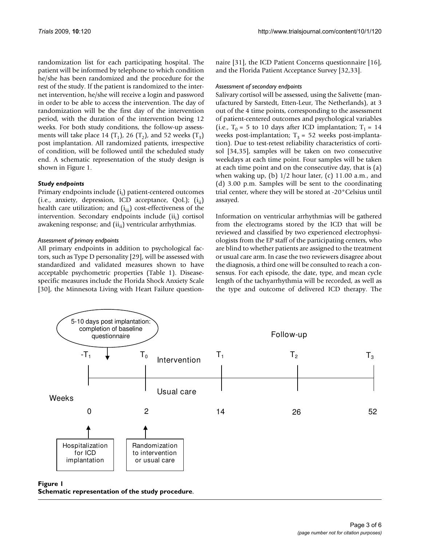randomization list for each participating hospital. The patient will be informed by telephone to which condition he/she has been randomized and the procedure for the rest of the study. If the patient is randomized to the internet intervention, he/she will receive a login and password in order to be able to access the intervention. The day of randomization will be the first day of the intervention period, with the duration of the intervention being 12 weeks. For both study conditions, the follow-up assessments will take place 14  $(T_1)$ , 26  $(T_2)$ , and 52 weeks  $(T_3)$ post implantation. All randomized patients, irrespective of condition, will be followed until the scheduled study end. A schematic representation of the study design is shown in Figure 1.

# *Study endpoints*

Primary endpoints include (i<sub>i</sub>) patient-centered outcomes (i.e., anxiety, depression, ICD acceptance, QoL);  $(i_{ii})$ health care utilization; and  $(i_{iii})$  cost-effectiveness of the intervention. Secondary endpoints include (ii<sub>i</sub>) cortisol awakening response; and  $(ii_{ii})$  ventricular arrhythmias.

# *Assessment of primary endpoints*

All primary endpoints in addition to psychological factors, such as Type D personality [29], will be assessed with standardized and validated measures shown to have acceptable psychometric properties (Table 1). Diseasespecific measures include the Florida Shock Anxiety Scale [30], the Minnesota Living with Heart Failure questionnaire [31], the ICD Patient Concerns questionnaire [16], and the Florida Patient Acceptance Survey [32,33].

### *Assessment of secondary endpoints*

Salivary cortisol will be assessed, using the Salivette (manufactured by Sarstedt, Etten-Leur, The Netherlands), at 3 out of the 4 time points, corresponding to the assessment of patient-centered outcomes and psychological variables (i.e.,  $T_0 = 5$  to 10 days after ICD implantation;  $T_1 = 14$ weeks post-implantation;  $T_3 = 52$  weeks post-implantation). Due to test-retest reliability characteristics of cortisol [34,35], samples will be taken on two consecutive weekdays at each time point. Four samples will be taken at each time point and on the consecutive day, that is (a) when waking up, (b)  $1/2$  hour later, (c)  $11.00$  a.m., and (d) 3.00 p.m. Samples will be sent to the coordinating trial center, where they will be stored at -20°Celsius until assayed.

Information on ventricular arrhythmias will be gathered from the electrograms stored by the ICD that will be reviewed and classified by two experienced electrophysiologists from the EP staff of the participating centers, who are blind to whether patients are assigned to the treatment or usual care arm. In case the two reviewers disagree about the diagnosis, a third one will be consulted to reach a consensus. For each episode, the date, type, and mean cycle length of the tachyarrhythmia will be recorded, as well as the type and outcome of delivered ICD therapy. The



**Figure 1 Schematic representation of the study procedure**.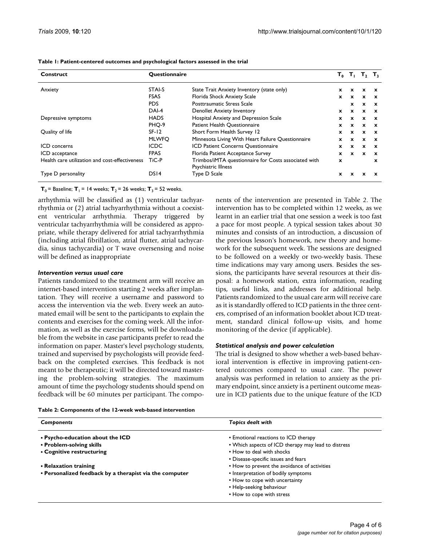| Construct                                      | Questionnaire    |                                                                             |   | $T_0$ $I_1$  | $T_2$ , $T_3$ |              |
|------------------------------------------------|------------------|-----------------------------------------------------------------------------|---|--------------|---------------|--------------|
| Anxiety                                        | STAI-S           | State Trait Anxiety Inventory (state only)                                  | x | $\mathbf{x}$ | $x \times$    |              |
|                                                | <b>FSAS</b>      | Florida Shock Anxiety Scale                                                 | x | x            | x             | $\mathbf{x}$ |
|                                                | <b>PDS</b>       | Posttraumatic Stress Scale                                                  |   | $\mathbf{x}$ | $\mathbf{x}$  | $\mathbf{x}$ |
|                                                | DAI-4            | Denollet Anxiety Inventory                                                  | x | $\mathbf{x}$ | $\mathbf{x}$  | $\mathbf{x}$ |
| Depressive symptoms                            | <b>HADS</b>      | Hospital Anxiety and Depression Scale                                       | x | $\mathbf{x}$ | $\mathbf{x}$  | $\mathbf{x}$ |
|                                                | PHO-9            | Patient Health Questionnaire                                                | x | $\mathbf{x}$ | $\mathbf{x}$  | $\mathbf{x}$ |
| Quality of life                                | $SF-12$          | Short Form Health Survey 12                                                 | x | $\mathbf{x}$ | $\mathbf{x}$  | $\mathbf{x}$ |
|                                                | <b>MLWFO</b>     | Minnesota Living With Heart Failure Questionnaire                           | x | $\mathbf{x}$ | $\mathbf{x}$  | $\mathbf{x}$ |
| ICD concerns                                   | <b>ICDC</b>      | <b>ICD Patient Concerns Questionnaire</b>                                   | x | $\mathbf{x}$ | $\mathbf{x}$  | $\mathbf{x}$ |
| ICD acceptance                                 | <b>FPAS</b>      | Florida Patient Acceptance Survey                                           | x | $\mathbf{x}$ | $\mathbf{x}$  | $\mathbf{x}$ |
| Health care utilization and cost-effectiveness | TiC-P            | Trimbos/iMTA questionnaire for Costs associated with<br>Psychiatric Illness | x |              |               | x            |
| Type D personality                             | DS <sub>14</sub> | Type D Scale                                                                | x | $\mathbf{x}$ | x             | x            |

**Table 1: Patient-centered outcomes and psychological factors assessed in the trial**

**T**<sub>0</sub> = Baseline; **T**<sub>1</sub> = 14 weeks; **T**<sub>2</sub> = 26 weeks; **T**<sub>3</sub> = 52 weeks.

arrhythmia will be classified as (1) ventricular tachyarrhythmia or (2) atrial tachyarrhythmia without a coexistent ventricular arrhythmia. Therapy triggered by ventricular tachyarrhythmia will be considered as appropriate, while therapy delivered for atrial tachyarrhythmia (including atrial fibrillation, atrial flutter, atrial tachycardia, sinus tachycardia) or T wave oversensing and noise will be defined as inappropriate

#### *Intervention versus usual care*

Patients randomized to the treatment arm will receive an internet-based intervention starting 2 weeks after implantation. They will receive a username and password to access the intervention via the web. Every week an automated email will be sent to the participants to explain the contents and exercises for the coming week. All the information, as well as the exercise forms, will be downloadable from the website in case participants prefer to read the information on paper. Master's level psychology students, trained and supervised by psychologists will provide feedback on the completed exercises. This feedback is not meant to be therapeutic; it will be directed toward mastering the problem-solving strategies. The maximum amount of time the psychology students should spend on feedback will be 60 minutes per participant. The components of the intervention are presented in Table 2. The intervention has to be completed within 12 weeks, as we learnt in an earlier trial that one session a week is too fast a pace for most people. A typical session takes about 30 minutes and consists of an introduction, a discussion of the previous lesson's homework, new theory and homework for the subsequent week. The sessions are designed to be followed on a weekly or two-weekly basis. These time indications may vary among users. Besides the sessions, the participants have several resources at their disposal: a homework station, extra information, reading tips, useful links, and addresses for additional help. Patients randomized to the usual care arm will receive care as it is standardly offered to ICD patients in the three centers, comprised of an information booklet about ICD treatment, standard clinical follow-up visits, and home monitoring of the device (if applicable).

### *Statistical analysis and power calculation*

The trial is designed to show whether a web-based behavioral intervention is effective in improving patient-centered outcomes compared to usual care. The power analysis was performed in relation to anxiety as the primary endpoint, since anxiety is a pertinent outcome measure in ICD patients due to the unique feature of the ICD

**Table 2: Components of the 12-week web-based intervention**

| Components                                              | Topics dealt with                                   |
|---------------------------------------------------------|-----------------------------------------------------|
| • Psycho-education about the ICD                        | • Emotional reactions to ICD therapy                |
| • Problem-solving skills                                | • Which aspects of ICD therapy may lead to distress |
| • Cognitive restructuring                               | • How to deal with shocks                           |
|                                                         | • Disease-specific issues and fears                 |
| • Relaxation training                                   | • How to prevent the avoidance of activities        |
| • Personalized feedback by a therapist via the computer | • Interpretation of bodily symptoms                 |
|                                                         | • How to cope with uncertainty                      |
|                                                         | • Help-seeking behaviour                            |
|                                                         | • How to cope with stress                           |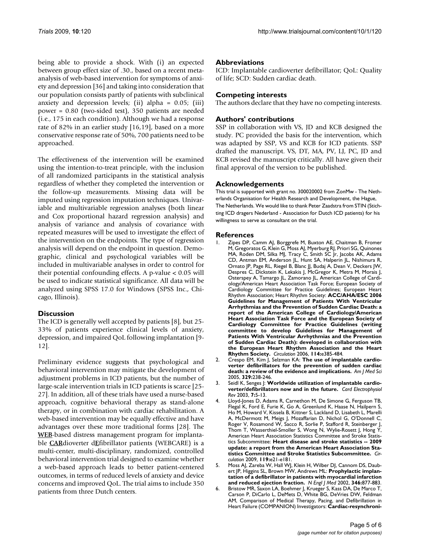being able to provide a shock. With (i) an expected between group effect size of .30., based on a recent metaanalysis of web-based intervention for symptoms of anxiety and depression [36] and taking into consideration that our population consists partly of patients with subclinical anxiety and depression levels; (ii) alpha =  $0.05$ ; (iii) power = 0.80 (two-sided test), 350 patients are needed (i.e., 175 in each condition). Although we had a response rate of 82% in an earlier study [16,19], based on a more conservative response rate of 50%, 700 patients need to be approached.

The effectiveness of the intervention will be examined using the intention-to-treat principle, with the inclusion of all randomized participants in the statistical analysis regardless of whether they completed the intervention or the follow-up measurements. Missing data will be imputed using regression imputation techniques. Univariable and multivariable regression analyses (both linear and Cox proportional hazard regression analysis) and analysis of variance and analysis of covariance with repeated measures will be used to investigate the effect of the intervention on the endpoints. The type of regression analysis will depend on the endpoint in question. Demographic, clinical and psychological variables will be included in multivariable analyses in order to control for their potential confounding effects. A p-value < 0.05 will be used to indicate statistical significance. All data will be analyzed using SPSS 17.0 for Windows (SPSS Inc., Chicago, Illinois).

# **Discussion**

The ICD is generally well accepted by patients [8], but 25- 33% of patients experience clinical levels of anxiety, depression, and impaired QoL following implantation [9- 12].

Preliminary evidence suggests that psychological and behavioral intervention may mitigate the development of adjustment problems in ICD patients, but the number of large-scale intervention trials in ICD patients is scarce [25- 27]. In addition, all of these trials have used a nurse-based approach, cognitive behavioral therapy as stand-alone therapy, or in combination with cardiac rehabilitation. A web-based intervention may be equally effective and have advantages over these more traditional forms [28]. The **WEB**-based distress management program for implantable **CAR**dioverter d**E**fibrillator patients (WEBCARE) is a multi-center, multi-disciplinary, randomized, controlled behavioral intervention trial designed to examine whether a web-based approach leads to better patient-centered outcomes, in terms of reduced levels of anxiety and device concerns and improved QoL. The trial aims to include 350 patients from three Dutch centers.

# **Abbreviations**

ICD: Implantable cardioverter defibrillator; QoL: Quality of life; SCD: Sudden cardiac death.

# **Competing interests**

The authors declare that they have no competing interests.

# **Authors' contributions**

SSP in collaboration with VS, JD and KCB designed the study. PC provided the basis for the intervention, which was adapted by SSP, VS and KCB for ICD patients. SSP drafted the manuscript. VS, DT, MA, PV, LJ, PC, JD and KCB revised the manuscript critically. All have given their final approval of the version to be published.

# **Acknowledgements**

This trial is supported with grant no. 300020002 from ZonMw - The Netherlands Organisation for Health Research and Development, the Hague, The Netherlands. We would like to thank Peter Zaadstra from STIN (Stichting ICD dragers Nederland - Association for Dutch ICD patients) for his willingness to serve as consultant on the trial.

### **References**

- Zipes DP, Camm AJ, Borggrefe M, Buxton AE, Chaitman B, Fromer M, Gregoratos G, Klein G, Moss AJ, Myerburg RJ, Priori SG, Quinones MA, Roden DM, Silka MJ, Tracy C, Smith SC Jr, Jacobs AK, Adams CD, Antman EM, Anderson JL, Hunt SA, Halperin JL, Nishimura R, Ornato JP, Page RL, Riegel B, Blanc JJ, Budaj A, Dean V, Deckers JW, Despres C, Dickstein K, Lekakis J, McGregor K, Metra M, Morais J, Osterspey A, Tamargo JL, Zamorano JL, American College of Cardiology/American Heart Association Task Force; European Society of Cardiology Committee for Practice Guidelines; European Heart Rhythm Association; Heart Rhythm Society: **[ACC/AHA/ESC 2006](http://www.ncbi.nlm.nih.gov/entrez/query.fcgi?cmd=Retrieve&db=PubMed&dopt=Abstract&list_uids=16935995) Guidelines for Management of Patients With Ventricular [Arrhythmias and the Prevention of Sudden Cardiac Death: a](http://www.ncbi.nlm.nih.gov/entrez/query.fcgi?cmd=Retrieve&db=PubMed&dopt=Abstract&list_uids=16935995) report of the American College of Cardiology/American Heart Association Task Force and the European Society of Cardiology Committee for Practice Guidelines (writing committee to develop Guidelines for Management of Patients With Ventricular Arrhythmias and the Prevention of Sudden Cardiac Death): developed in collaboration with the European Heart Rhythm Association and the Heart [Rhythm Society.](http://www.ncbi.nlm.nih.gov/entrez/query.fcgi?cmd=Retrieve&db=PubMed&dopt=Abstract&list_uids=16935995)** *Circulation* 2006, **114:**e385-484.
- 2. Crespo EM, Kim J, Selzman KA: **[The use of implantable cardio](http://www.ncbi.nlm.nih.gov/entrez/query.fcgi?cmd=Retrieve&db=PubMed&dopt=Abstract&list_uids=15894866)[verter defibrillators for the prevention of sudden cardiac](http://www.ncbi.nlm.nih.gov/entrez/query.fcgi?cmd=Retrieve&db=PubMed&dopt=Abstract&list_uids=15894866) [death: a review of the evidence and implications.](http://www.ncbi.nlm.nih.gov/entrez/query.fcgi?cmd=Retrieve&db=PubMed&dopt=Abstract&list_uids=15894866)** *Am J Med Sci* 2005, **329:**238-246.
- 3. Seidl K, Senges J: **[Worldwide utilization of implantable cardio](http://www.ncbi.nlm.nih.gov/entrez/query.fcgi?cmd=Retrieve&db=PubMed&dopt=Abstract&list_uids=12766509)[verter/defibrillators now and in the future.](http://www.ncbi.nlm.nih.gov/entrez/query.fcgi?cmd=Retrieve&db=PubMed&dopt=Abstract&list_uids=12766509)** *Card Electrophysiol Rev* 2003, **7:**5-13.
- 4. Lloyd-Jones D, Adams R, Carnethon M, De Simone G, Ferguson TB, Flegal K, Ford E, Furie K, Go A, Greenlund K, Haase N, Hailpern S, Ho M, Howard V, Kissela B, Kittner S, Lackland D, Lisabeth L, Marelli A, McDermott M, Meigs J, Mozaffarian D, Nichol G, O'Donnell C, Roger V, Rosamond W, Sacco R, Sorlie P, Stafford R, Steinberger J, Thom T, Wasserthiel-Smoller S, Wong N, Wylie-Rosett J, Hong Y, American Heart Association Statistics Committee and Stroke Statistics Subcommittee: **[Heart disease and stroke statistics -- 2009](http://www.ncbi.nlm.nih.gov/entrez/query.fcgi?cmd=Retrieve&db=PubMed&dopt=Abstract&list_uids=19075105) [update: a report from the American Heart Association Sta](http://www.ncbi.nlm.nih.gov/entrez/query.fcgi?cmd=Retrieve&db=PubMed&dopt=Abstract&list_uids=19075105)[tistics Committee and Stroke Statistics Subcommittee.](http://www.ncbi.nlm.nih.gov/entrez/query.fcgi?cmd=Retrieve&db=PubMed&dopt=Abstract&list_uids=19075105)** *Circulation* 2009, **119:**e21-e181.
- Moss AJ, Zareba W, Hall WJ, Klein H, Wilber DJ, Cannom DS, Daubert JP, Higgins SL, Brown MW, Andrews ML: **[Prophylactic implan](http://www.ncbi.nlm.nih.gov/entrez/query.fcgi?cmd=Retrieve&db=PubMed&dopt=Abstract&list_uids=11907286)[tation of a defibrillator in patients with myocardial infarction](http://www.ncbi.nlm.nih.gov/entrez/query.fcgi?cmd=Retrieve&db=PubMed&dopt=Abstract&list_uids=11907286) [and reduced ejection fraction.](http://www.ncbi.nlm.nih.gov/entrez/query.fcgi?cmd=Retrieve&db=PubMed&dopt=Abstract&list_uids=11907286)** *N Engl J Med* 2002, **346:**877-883.
- 6. Bristow MR, Saxon LA, Boehmer J, Krueger S, Kass DA, De Marco T, Carson P, DiCarlo L, DeMets D, White BG, DeVries DW, Feldman AM, Comparison of Medical Therapy, Pacing, and Defibrillation in Heart Failure (COMPANION) Investigators: **[Cardiac-resynchroni](http://www.ncbi.nlm.nih.gov/entrez/query.fcgi?cmd=Retrieve&db=PubMed&dopt=Abstract&list_uids=15152059)-**